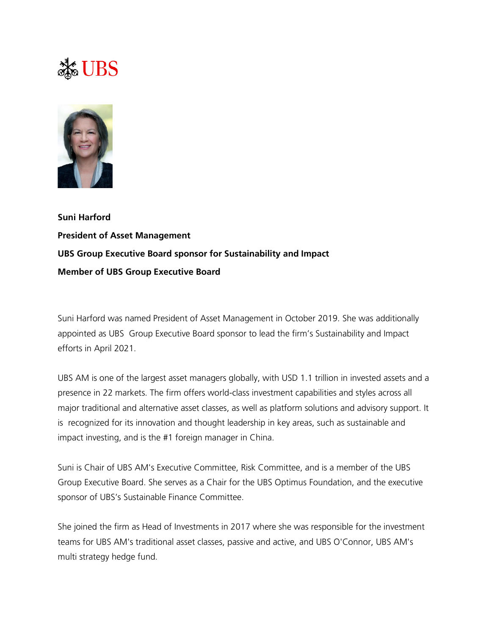## $\frac{1}{200}$  UBS



**Suni Harford President of Asset Management UBS Group Executive Board sponsor for Sustainability and Impact Member of UBS Group Executive Board**

Suni Harford was named President of Asset Management in October 2019. She was additionally appointed as UBS Group Executive Board sponsor to lead the firm's Sustainability and Impact efforts in April 2021.

UBS AM is one of the largest asset managers globally, with USD 1.1 trillion in invested assets and a presence in 22 markets. The firm offers world-class investment capabilities and styles across all major traditional and alternative asset classes, as well as platform solutions and advisory support. It is recognized for its innovation and thought leadership in key areas, such as sustainable and impact investing, and is the #1 foreign manager in China.

Suni is Chair of UBS AM's Executive Committee, Risk Committee, and is a member of the UBS Group Executive Board. She serves as a Chair for the UBS Optimus Foundation, and the executive sponsor of UBS's Sustainable Finance Committee.

She joined the firm as Head of Investments in 2017 where she was responsible for the investment teams for UBS AM's traditional asset classes, passive and active, and UBS O'Connor, UBS AM's multi strategy hedge fund.